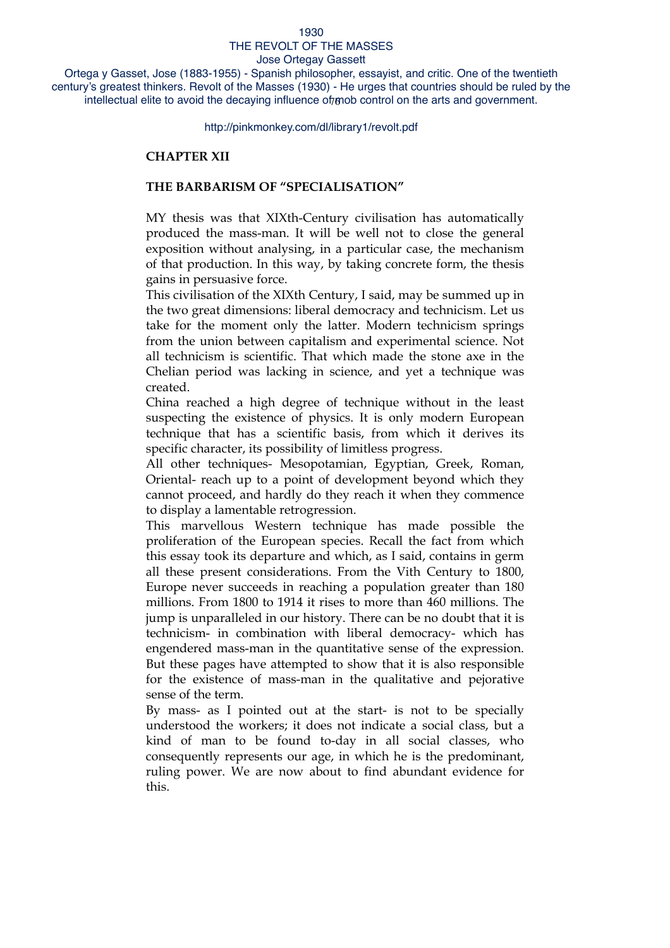# 1930

#### THE REVOLT OF THE MASSES Jose Ortegay Gassett

intellectual elite to avoid the decaying influence of mob control on the arts and government. Ortega y Gasset, Jose (1883-1955) - Spanish philosopher, essayist, and critic. One of the twentieth century's greatest thinkers. Revolt of the Masses (1930) - He urges that countries should be ruled by the

#### http://pinkmonkey.com/dl/library1/revolt.pdf

## **CHAPTER XII**

### **THE BARBARISM OF "SPECIALISATION"**

MY thesis was that XIXth-Century civilisation has automatically produced the mass-man. It will be well not to close the general exposition without analysing, in a particular case, the mechanism of that production. In this way, by taking concrete form, the thesis gains in persuasive force.

This civilisation of the XIXth Century, I said, may be summed up in the two great dimensions: liberal democracy and technicism. Let us take for the moment only the latter. Modern technicism springs from the union between capitalism and experimental science. Not all technicism is scientific. That which made the stone axe in the Chelian period was lacking in science, and yet a technique was created.

China reached a high degree of technique without in the least suspecting the existence of physics. It is only modern European technique that has a scientific basis, from which it derives its specific character, its possibility of limitless progress.

All other techniques- Mesopotamian, Egyptian, Greek, Roman, Oriental- reach up to a point of development beyond which they cannot proceed, and hardly do they reach it when they commence to display a lamentable retrogression.

This marvellous Western technique has made possible the proliferation of the European species. Recall the fact from which this essay took its departure and which, as I said, contains in germ all these present considerations. From the Vith Century to 1800, Europe never succeeds in reaching a population greater than 180 millions. From 1800 to 1914 it rises to more than 460 millions. The jump is unparalleled in our history. There can be no doubt that it is technicism- in combination with liberal democracy- which has engendered mass-man in the quantitative sense of the expression. But these pages have attempted to show that it is also responsible for the existence of mass-man in the qualitative and pejorative sense of the term.

By mass- as I pointed out at the start- is not to be specially understood the workers; it does not indicate a social class, but a kind of man to be found to-day in all social classes, who consequently represents our age, in which he is the predominant, ruling power. We are now about to find abundant evidence for this.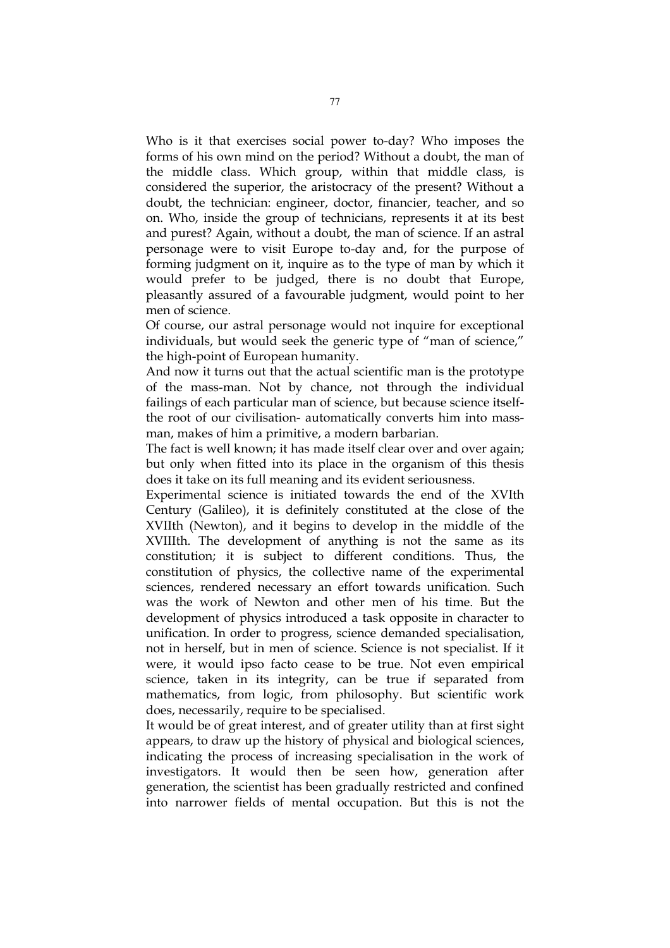Who is it that exercises social power to-day? Who imposes the forms of his own mind on the period? Without a doubt, the man of the middle class. Which group, within that middle class, is considered the superior, the aristocracy of the present? Without a doubt, the technician: engineer, doctor, financier, teacher, and so on. Who, inside the group of technicians, represents it at its best and purest? Again, without a doubt, the man of science. If an astral personage were to visit Europe to-day and, for the purpose of forming judgment on it, inquire as to the type of man by which it would prefer to be judged, there is no doubt that Europe, pleasantly assured of a favourable judgment, would point to her men of science.

Of course, our astral personage would not inquire for exceptional individuals, but would seek the generic type of "man of science," the high-point of European humanity.

And now it turns out that the actual scientific man is the prototype of the mass-man. Not by chance, not through the individual failings of each particular man of science, but because science itselfthe root of our civilisation- automatically converts him into massman, makes of him a primitive, a modern barbarian.

The fact is well known; it has made itself clear over and over again; but only when fitted into its place in the organism of this thesis does it take on its full meaning and its evident seriousness.

Experimental science is initiated towards the end of the XVIth Century (Galileo), it is definitely constituted at the close of the XVIIth (Newton), and it begins to develop in the middle of the XVIIIth. The development of anything is not the same as its constitution; it is subject to different conditions. Thus, the constitution of physics, the collective name of the experimental sciences, rendered necessary an effort towards unification. Such was the work of Newton and other men of his time. But the development of physics introduced a task opposite in character to unification. In order to progress, science demanded specialisation, not in herself, but in men of science. Science is not specialist. If it were, it would ipso facto cease to be true. Not even empirical science, taken in its integrity, can be true if separated from mathematics, from logic, from philosophy. But scientific work does, necessarily, require to be specialised.

It would be of great interest, and of greater utility than at first sight appears, to draw up the history of physical and biological sciences, indicating the process of increasing specialisation in the work of investigators. It would then be seen how, generation after generation, the scientist has been gradually restricted and confined into narrower fields of mental occupation. But this is not the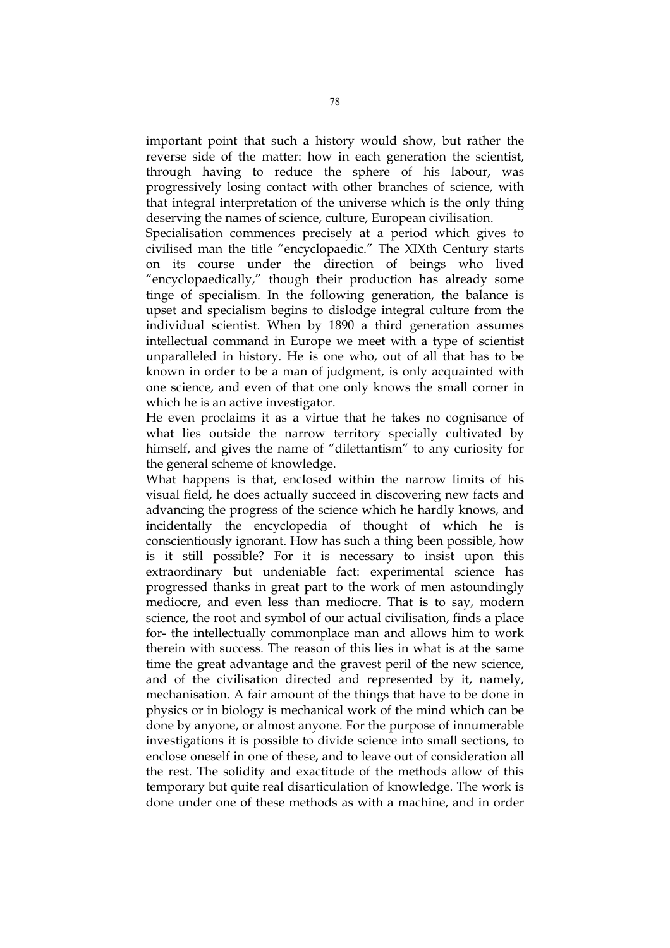important point that such a history would show, but rather the reverse side of the matter: how in each generation the scientist, through having to reduce the sphere of his labour, was progressively losing contact with other branches of science, with that integral interpretation of the universe which is the only thing deserving the names of science, culture, European civilisation.

Specialisation commences precisely at a period which gives to civilised man the title "encyclopaedic." The XIXth Century starts on its course under the direction of beings who lived "encyclopaedically," though their production has already some tinge of specialism. In the following generation, the balance is upset and specialism begins to dislodge integral culture from the individual scientist. When by 1890 a third generation assumes intellectual command in Europe we meet with a type of scientist unparalleled in history. He is one who, out of all that has to be known in order to be a man of judgment, is only acquainted with one science, and even of that one only knows the small corner in which he is an active investigator.

He even proclaims it as a virtue that he takes no cognisance of what lies outside the narrow territory specially cultivated by himself, and gives the name of "dilettantism" to any curiosity for the general scheme of knowledge.

What happens is that, enclosed within the narrow limits of his visual field, he does actually succeed in discovering new facts and advancing the progress of the science which he hardly knows, and incidentally the encyclopedia of thought of which he is conscientiously ignorant. How has such a thing been possible, how is it still possible? For it is necessary to insist upon this extraordinary but undeniable fact: experimental science has progressed thanks in great part to the work of men astoundingly mediocre, and even less than mediocre. That is to say, modern science, the root and symbol of our actual civilisation, finds a place for- the intellectually commonplace man and allows him to work therein with success. The reason of this lies in what is at the same time the great advantage and the gravest peril of the new science, and of the civilisation directed and represented by it, namely, mechanisation. A fair amount of the things that have to be done in physics or in biology is mechanical work of the mind which can be done by anyone, or almost anyone. For the purpose of innumerable investigations it is possible to divide science into small sections, to enclose oneself in one of these, and to leave out of consideration all the rest. The solidity and exactitude of the methods allow of this temporary but quite real disarticulation of knowledge. The work is done under one of these methods as with a machine, and in order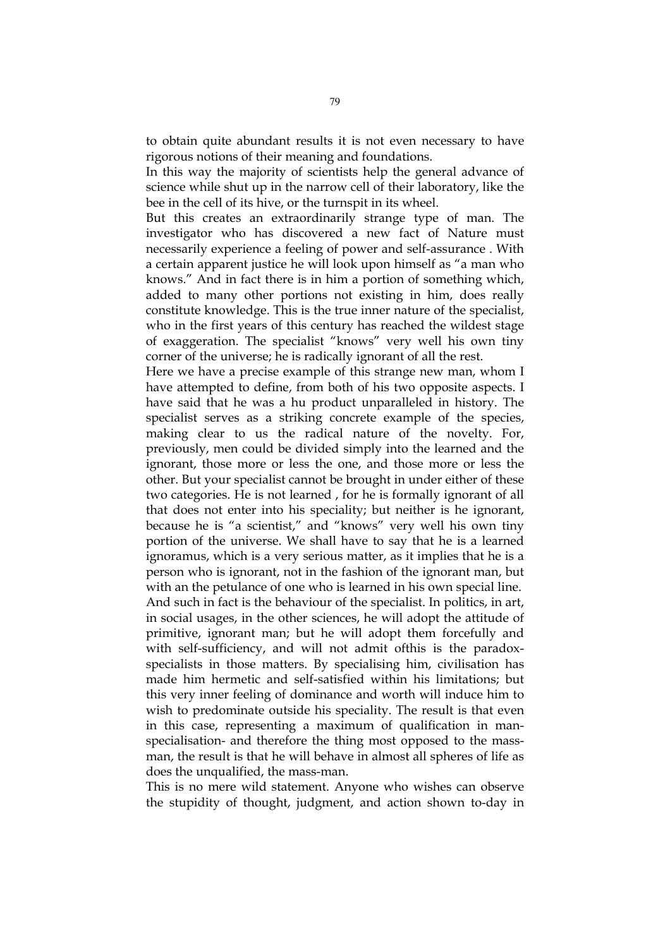to obtain quite abundant results it is not even necessary to have rigorous notions of their meaning and foundations.

In this way the majority of scientists help the general advance of science while shut up in the narrow cell of their laboratory, like the bee in the cell of its hive, or the turnspit in its wheel.

But this creates an extraordinarily strange type of man. The investigator who has discovered a new fact of Nature must necessarily experience a feeling of power and self-assurance . With a certain apparent justice he will look upon himself as "a man who knows." And in fact there is in him a portion of something which, added to many other portions not existing in him, does really constitute knowledge. This is the true inner nature of the specialist, who in the first years of this century has reached the wildest stage of exaggeration. The specialist "knows" very well his own tiny corner of the universe; he is radically ignorant of all the rest.

Here we have a precise example of this strange new man, whom I have attempted to define, from both of his two opposite aspects. I have said that he was a hu product unparalleled in history. The specialist serves as a striking concrete example of the species, making clear to us the radical nature of the novelty. For, previously, men could be divided simply into the learned and the ignorant, those more or less the one, and those more or less the other. But your specialist cannot be brought in under either of these two categories. He is not learned , for he is formally ignorant of all that does not enter into his speciality; but neither is he ignorant, because he is "a scientist," and "knows" very well his own tiny portion of the universe. We shall have to say that he is a learned ignoramus, which is a very serious matter, as it implies that he is a person who is ignorant, not in the fashion of the ignorant man, but with an the petulance of one who is learned in his own special line. And such in fact is the behaviour of the specialist. In politics, in art, in social usages, in the other sciences, he will adopt the attitude of primitive, ignorant man; but he will adopt them forcefully and with self-sufficiency, and will not admit ofthis is the paradoxspecialists in those matters. By specialising him, civilisation has made him hermetic and self-satisfied within his limitations; but this very inner feeling of dominance and worth will induce him to wish to predominate outside his speciality. The result is that even in this case, representing a maximum of qualification in manspecialisation- and therefore the thing most opposed to the massman, the result is that he will behave in almost all spheres of life as does the unqualified, the mass-man.

This is no mere wild statement. Anyone who wishes can observe the stupidity of thought, judgment, and action shown to-day in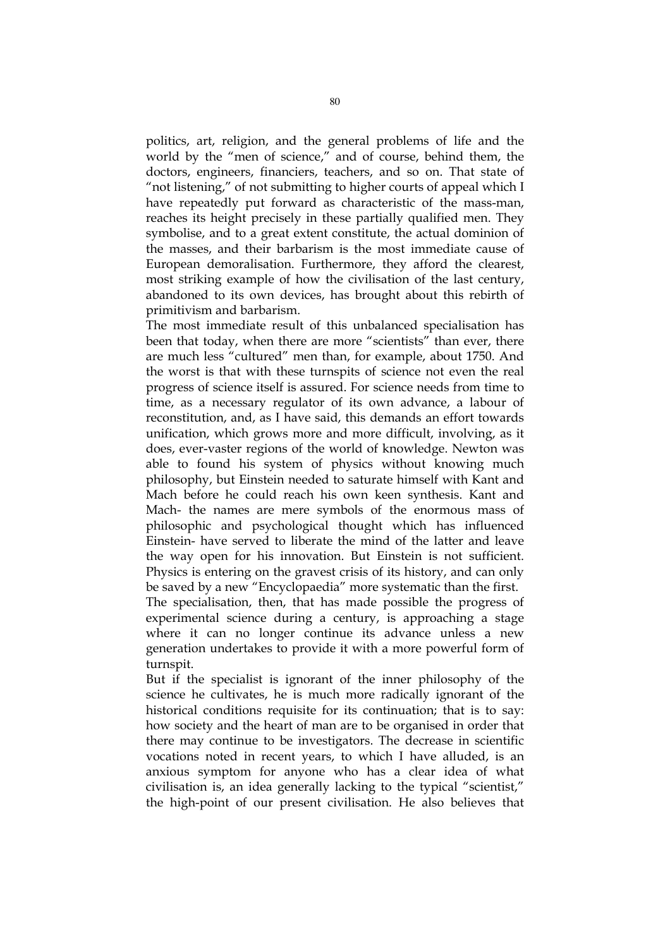politics, art, religion, and the general problems of life and the world by the "men of science," and of course, behind them, the doctors, engineers, financiers, teachers, and so on. That state of "not listening," of not submitting to higher courts of appeal which I have repeatedly put forward as characteristic of the mass-man, reaches its height precisely in these partially qualified men. They symbolise, and to a great extent constitute, the actual dominion of the masses, and their barbarism is the most immediate cause of European demoralisation. Furthermore, they afford the clearest, most striking example of how the civilisation of the last century, abandoned to its own devices, has brought about this rebirth of primitivism and barbarism.

The most immediate result of this unbalanced specialisation has been that today, when there are more "scientists" than ever, there are much less "cultured" men than, for example, about 1750. And the worst is that with these turnspits of science not even the real progress of science itself is assured. For science needs from time to time, as a necessary regulator of its own advance, a labour of reconstitution, and, as I have said, this demands an effort towards unification, which grows more and more difficult, involving, as it does, ever-vaster regions of the world of knowledge. Newton was able to found his system of physics without knowing much philosophy, but Einstein needed to saturate himself with Kant and Mach before he could reach his own keen synthesis. Kant and Mach- the names are mere symbols of the enormous mass of philosophic and psychological thought which has influenced Einstein- have served to liberate the mind of the latter and leave the way open for his innovation. But Einstein is not sufficient. Physics is entering on the gravest crisis of its history, and can only be saved by a new "Encyclopaedia" more systematic than the first.

The specialisation, then, that has made possible the progress of experimental science during a century, is approaching a stage where it can no longer continue its advance unless a new generation undertakes to provide it with a more powerful form of turnspit.

But if the specialist is ignorant of the inner philosophy of the science he cultivates, he is much more radically ignorant of the historical conditions requisite for its continuation; that is to say: how society and the heart of man are to be organised in order that there may continue to be investigators. The decrease in scientific vocations noted in recent years, to which I have alluded, is an anxious symptom for anyone who has a clear idea of what civilisation is, an idea generally lacking to the typical "scientist," the high-point of our present civilisation. He also believes that